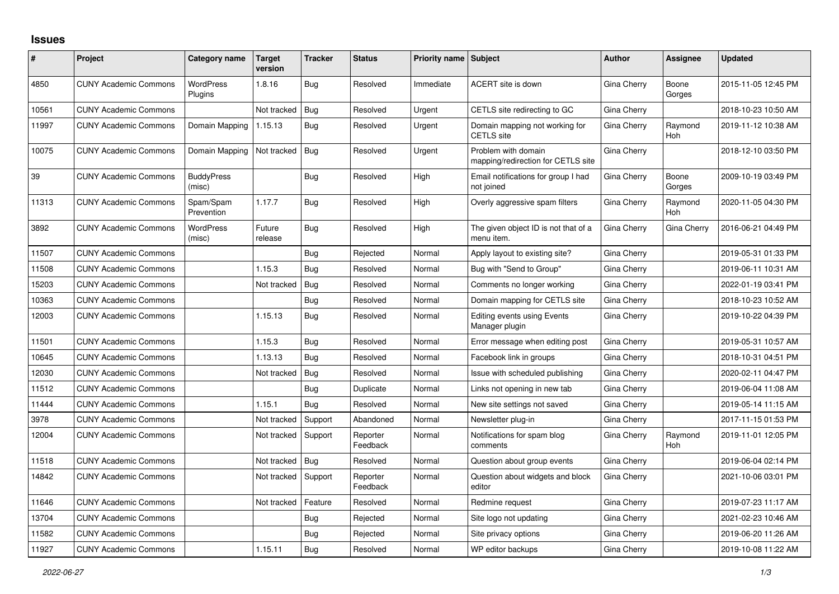## **Issues**

| #     | Project                      | Category name               | <b>Target</b><br>version | <b>Tracker</b> | <b>Status</b>        | Priority name Subject |                                                           | <b>Author</b> | Assignee              | <b>Updated</b>      |
|-------|------------------------------|-----------------------------|--------------------------|----------------|----------------------|-----------------------|-----------------------------------------------------------|---------------|-----------------------|---------------------|
| 4850  | <b>CUNY Academic Commons</b> | <b>WordPress</b><br>Plugins | 1.8.16                   | <b>Bug</b>     | Resolved             | Immediate             | <b>ACERT</b> site is down                                 | Gina Cherry   | Boone<br>Gorges       | 2015-11-05 12:45 PM |
| 10561 | <b>CUNY Academic Commons</b> |                             | Not tracked              | Bug            | Resolved             | Urgent                | CETLS site redirecting to GC                              | Gina Cherry   |                       | 2018-10-23 10:50 AM |
| 11997 | <b>CUNY Academic Commons</b> | Domain Mapping              | 1.15.13                  | Bug            | Resolved             | Urgent                | Domain mapping not working for<br><b>CETLS</b> site       | Gina Cherry   | Raymond<br>Hoh        | 2019-11-12 10:38 AM |
| 10075 | <b>CUNY Academic Commons</b> | Domain Mapping              | Not tracked              | Bug            | Resolved             | Urgent                | Problem with domain<br>mapping/redirection for CETLS site | Gina Cherry   |                       | 2018-12-10 03:50 PM |
| 39    | <b>CUNY Academic Commons</b> | <b>BuddyPress</b><br>(misc) |                          | Bug            | Resolved             | High                  | Email notifications for group I had<br>not joined         | Gina Cherry   | Boone<br>Gorges       | 2009-10-19 03:49 PM |
| 11313 | <b>CUNY Academic Commons</b> | Spam/Spam<br>Prevention     | 1.17.7                   | Bug            | Resolved             | High                  | Overly aggressive spam filters                            | Gina Cherry   | Raymond<br><b>Hoh</b> | 2020-11-05 04:30 PM |
| 3892  | <b>CUNY Academic Commons</b> | <b>WordPress</b><br>(misc)  | Future<br>release        | Bug            | Resolved             | High                  | The given object ID is not that of a<br>menu item.        | Gina Cherry   | Gina Cherry           | 2016-06-21 04:49 PM |
| 11507 | <b>CUNY Academic Commons</b> |                             |                          | Bug            | Rejected             | Normal                | Apply layout to existing site?                            | Gina Cherry   |                       | 2019-05-31 01:33 PM |
| 11508 | <b>CUNY Academic Commons</b> |                             | 1.15.3                   | Bug            | Resolved             | Normal                | Bug with "Send to Group"                                  | Gina Cherry   |                       | 2019-06-11 10:31 AM |
| 15203 | <b>CUNY Academic Commons</b> |                             | Not tracked              | Bug            | Resolved             | Normal                | Comments no longer working                                | Gina Cherry   |                       | 2022-01-19 03:41 PM |
| 10363 | <b>CUNY Academic Commons</b> |                             |                          | <b>Bug</b>     | Resolved             | Normal                | Domain mapping for CETLS site                             | Gina Cherry   |                       | 2018-10-23 10:52 AM |
| 12003 | <b>CUNY Academic Commons</b> |                             | 1.15.13                  | Bug            | Resolved             | Normal                | Editing events using Events<br>Manager plugin             | Gina Cherry   |                       | 2019-10-22 04:39 PM |
| 11501 | <b>CUNY Academic Commons</b> |                             | 1.15.3                   | Bug            | Resolved             | Normal                | Error message when editing post                           | Gina Cherry   |                       | 2019-05-31 10:57 AM |
| 10645 | <b>CUNY Academic Commons</b> |                             | 1.13.13                  | Bug            | Resolved             | Normal                | Facebook link in groups                                   | Gina Cherry   |                       | 2018-10-31 04:51 PM |
| 12030 | <b>CUNY Academic Commons</b> |                             | Not tracked              | Bug            | Resolved             | Normal                | Issue with scheduled publishing                           | Gina Cherry   |                       | 2020-02-11 04:47 PM |
| 11512 | <b>CUNY Academic Commons</b> |                             |                          | <b>Bug</b>     | Duplicate            | Normal                | Links not opening in new tab                              | Gina Cherry   |                       | 2019-06-04 11:08 AM |
| 11444 | <b>CUNY Academic Commons</b> |                             | 1.15.1                   | Bug            | Resolved             | Normal                | New site settings not saved                               | Gina Cherry   |                       | 2019-05-14 11:15 AM |
| 3978  | <b>CUNY Academic Commons</b> |                             | Not tracked              | Support        | Abandoned            | Normal                | Newsletter plug-in                                        | Gina Cherry   |                       | 2017-11-15 01:53 PM |
| 12004 | <b>CUNY Academic Commons</b> |                             | Not tracked              | Support        | Reporter<br>Feedback | Normal                | Notifications for spam blog<br>comments                   | Gina Cherry   | Raymond<br><b>Hoh</b> | 2019-11-01 12:05 PM |
| 11518 | <b>CUNY Academic Commons</b> |                             | Not tracked              | Bug            | Resolved             | Normal                | Question about group events                               | Gina Cherry   |                       | 2019-06-04 02:14 PM |
| 14842 | <b>CUNY Academic Commons</b> |                             | Not tracked              | Support        | Reporter<br>Feedback | Normal                | Question about widgets and block<br>editor                | Gina Cherry   |                       | 2021-10-06 03:01 PM |
| 11646 | <b>CUNY Academic Commons</b> |                             | Not tracked              | Feature        | Resolved             | Normal                | Redmine request                                           | Gina Cherry   |                       | 2019-07-23 11:17 AM |
| 13704 | <b>CUNY Academic Commons</b> |                             |                          | <b>Bug</b>     | Rejected             | Normal                | Site logo not updating                                    | Gina Cherry   |                       | 2021-02-23 10:46 AM |
| 11582 | <b>CUNY Academic Commons</b> |                             |                          | Bug            | Rejected             | Normal                | Site privacy options                                      | Gina Cherry   |                       | 2019-06-20 11:26 AM |
| 11927 | <b>CUNY Academic Commons</b> |                             | 1.15.11                  | Bug            | Resolved             | Normal                | WP editor backups                                         | Gina Cherry   |                       | 2019-10-08 11:22 AM |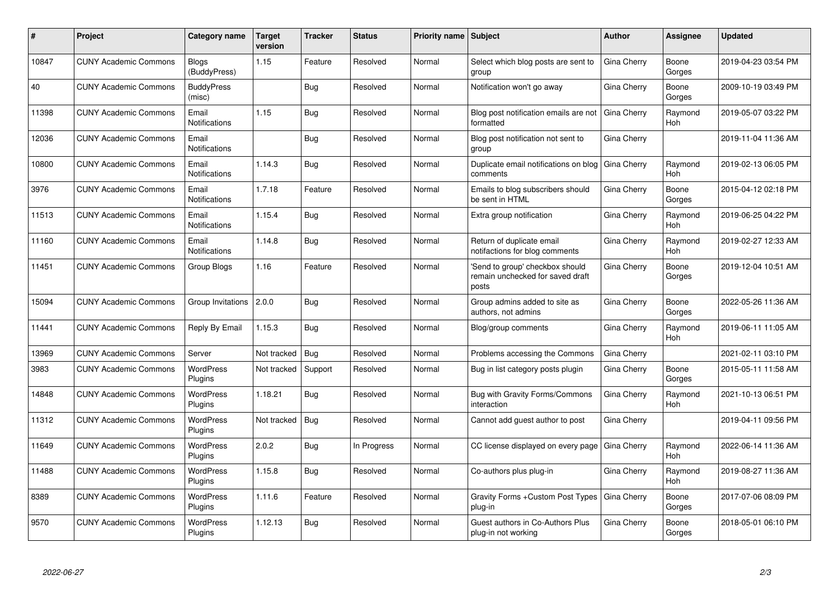| #     | Project                      | Category name                 | <b>Target</b><br>version | <b>Tracker</b> | <b>Status</b> | <b>Priority name Subject</b> |                                                                              | Author      | Assignee              | <b>Updated</b>      |
|-------|------------------------------|-------------------------------|--------------------------|----------------|---------------|------------------------------|------------------------------------------------------------------------------|-------------|-----------------------|---------------------|
| 10847 | <b>CUNY Academic Commons</b> | <b>Blogs</b><br>(BuddyPress)  | 1.15                     | Feature        | Resolved      | Normal                       | Select which blog posts are sent to<br>group                                 | Gina Cherry | Boone<br>Gorges       | 2019-04-23 03:54 PM |
| 40    | <b>CUNY Academic Commons</b> | <b>BuddyPress</b><br>(misc)   |                          | <b>Bug</b>     | Resolved      | Normal                       | Notification won't go away                                                   | Gina Cherry | Boone<br>Gorges       | 2009-10-19 03:49 PM |
| 11398 | <b>CUNY Academic Commons</b> | Email<br>Notifications        | 1.15                     | Bug            | Resolved      | Normal                       | Blog post notification emails are not<br>formatted                           | Gina Cherry | Raymond<br>Hoh        | 2019-05-07 03:22 PM |
| 12036 | <b>CUNY Academic Commons</b> | Email<br>Notifications        |                          | Bug            | Resolved      | Normal                       | Blog post notification not sent to<br>group                                  | Gina Cherry |                       | 2019-11-04 11:36 AM |
| 10800 | <b>CUNY Academic Commons</b> | Email<br><b>Notifications</b> | 1.14.3                   | <b>Bug</b>     | Resolved      | Normal                       | Duplicate email notifications on blog<br>comments                            | Gina Cherry | Raymond<br><b>Hoh</b> | 2019-02-13 06:05 PM |
| 3976  | <b>CUNY Academic Commons</b> | Email<br><b>Notifications</b> | 1.7.18                   | Feature        | Resolved      | Normal                       | Emails to blog subscribers should<br>be sent in HTML                         | Gina Cherry | Boone<br>Gorges       | 2015-04-12 02:18 PM |
| 11513 | <b>CUNY Academic Commons</b> | Email<br><b>Notifications</b> | 1.15.4                   | Bug            | Resolved      | Normal                       | Extra group notification                                                     | Gina Cherry | Raymond<br><b>Hoh</b> | 2019-06-25 04:22 PM |
| 11160 | <b>CUNY Academic Commons</b> | Email<br><b>Notifications</b> | 1.14.8                   | <b>Bug</b>     | Resolved      | Normal                       | Return of duplicate email<br>notifactions for blog comments                  | Gina Cherry | Raymond<br>Hoh        | 2019-02-27 12:33 AM |
| 11451 | <b>CUNY Academic Commons</b> | Group Blogs                   | 1.16                     | Feature        | Resolved      | Normal                       | 'Send to group' checkbox should<br>remain unchecked for saved draft<br>posts | Gina Cherry | Boone<br>Gorges       | 2019-12-04 10:51 AM |
| 15094 | <b>CUNY Academic Commons</b> | Group Invitations             | 2.0.0                    | <b>Bug</b>     | Resolved      | Normal                       | Group admins added to site as<br>authors, not admins                         | Gina Cherry | Boone<br>Gorges       | 2022-05-26 11:36 AM |
| 11441 | <b>CUNY Academic Commons</b> | Reply By Email                | 1.15.3                   | <b>Bug</b>     | Resolved      | Normal                       | Blog/group comments                                                          | Gina Cherry | Raymond<br>Hoh        | 2019-06-11 11:05 AM |
| 13969 | <b>CUNY Academic Commons</b> | Server                        | Not tracked              | Bug            | Resolved      | Normal                       | Problems accessing the Commons                                               | Gina Cherry |                       | 2021-02-11 03:10 PM |
| 3983  | <b>CUNY Academic Commons</b> | <b>WordPress</b><br>Plugins   | Not tracked              | Support        | Resolved      | Normal                       | Bug in list category posts plugin                                            | Gina Cherry | Boone<br>Gorges       | 2015-05-11 11:58 AM |
| 14848 | <b>CUNY Academic Commons</b> | <b>WordPress</b><br>Plugins   | 1.18.21                  | <b>Bug</b>     | Resolved      | Normal                       | Bug with Gravity Forms/Commons<br>interaction                                | Gina Cherry | Raymond<br>Hoh        | 2021-10-13 06:51 PM |
| 11312 | <b>CUNY Academic Commons</b> | <b>WordPress</b><br>Plugins   | Not tracked              | Bug            | Resolved      | Normal                       | Cannot add guest author to post                                              | Gina Cherry |                       | 2019-04-11 09:56 PM |
| 11649 | <b>CUNY Academic Commons</b> | <b>WordPress</b><br>Plugins   | 2.0.2                    | Bug            | In Progress   | Normal                       | CC license displayed on every page                                           | Gina Cherry | Raymond<br><b>Hoh</b> | 2022-06-14 11:36 AM |
| 11488 | <b>CUNY Academic Commons</b> | <b>WordPress</b><br>Plugins   | 1.15.8                   | Bug            | Resolved      | Normal                       | Co-authors plus plug-in                                                      | Gina Cherry | Raymond<br>Hoh        | 2019-08-27 11:36 AM |
| 8389  | <b>CUNY Academic Commons</b> | <b>WordPress</b><br>Plugins   | 1.11.6                   | Feature        | Resolved      | Normal                       | Gravity Forms + Custom Post Types<br>plug-in                                 | Gina Cherry | Boone<br>Gorges       | 2017-07-06 08:09 PM |
| 9570  | <b>CUNY Academic Commons</b> | WordPress<br>Plugins          | 1.12.13                  | Bug            | Resolved      | Normal                       | Guest authors in Co-Authors Plus<br>plug-in not working                      | Gina Cherry | Boone<br>Gorges       | 2018-05-01 06:10 PM |